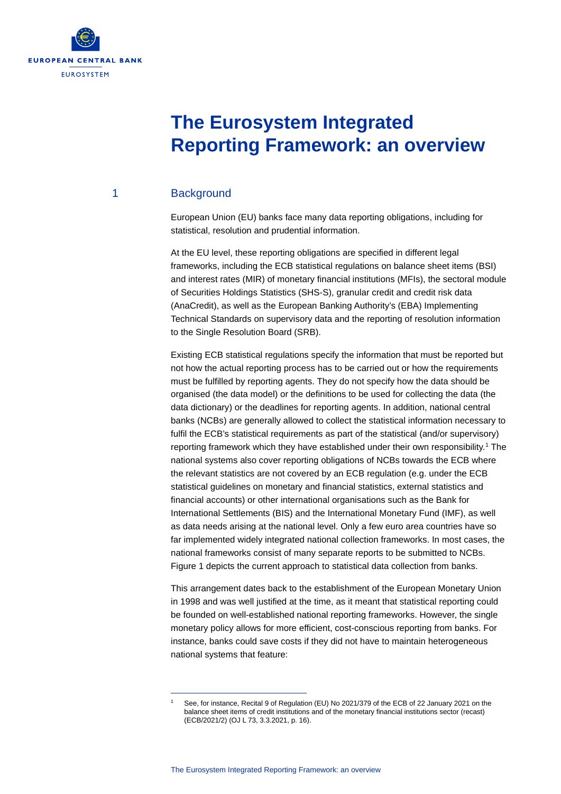

# **The Eurosystem Integrated Reporting Framework: an overview**

### 1 Background

European Union (EU) banks face many data reporting obligations, including for statistical, resolution and prudential information.

At the EU level, these reporting obligations are specified in different legal frameworks, including the ECB statistical regulations on balance sheet items (BSI) and interest rates (MIR) of monetary financial institutions (MFIs), the sectoral module of Securities Holdings Statistics (SHS-S), granular credit and credit risk data (AnaCredit), as well as the European Banking Authority's (EBA) Implementing Technical Standards on supervisory data and the reporting of resolution information to the Single Resolution Board (SRB).

Existing ECB statistical regulations specify the information that must be reported but not how the actual reporting process has to be carried out or how the requirements must be fulfilled by reporting agents. They do not specify how the data should be organised (the data model) or the definitions to be used for collecting the data (the data dictionary) or the deadlines for reporting agents. In addition, national central banks (NCBs) are generally allowed to collect the statistical information necessary to fulfil the ECB's statistical requirements as part of the statistical (and/or supervisory) reporting framework which they have established under their own responsibility.<sup>1</sup> The national systems also cover reporting obligations of NCBs towards the ECB where the relevant statistics are not covered by an ECB regulation (e.g. under the ECB statistical guidelines on monetary and financial statistics, external statistics and financial accounts) or other international organisations such as the Bank for International Settlements (BIS) and the International Monetary Fund (IMF), as well as data needs arising at the national level. Only a few euro area countries have so far implemented widely integrated national collection frameworks. In most cases, the national frameworks consist of many separate reports to be submitted to NCBs. Figure 1 depicts the current approach to statistical data collection from banks.

This arrangement dates back to the establishment of the European Monetary Union in 1998 and was well justified at the time, as it meant that statistical reporting could be founded on well-established national reporting frameworks. However, the single monetary policy allows for more efficient, cost-conscious reporting from banks. For instance, banks could save costs if they did not have to maintain heterogeneous national systems that feature:

<span id="page-0-0"></span><sup>1</sup> See, for instance, Recital 9 of Regulation (EU) No 2021/379 of the ECB of 22 January 2021 on the balance sheet items of credit institutions and of the monetary financial institutions sector (recast) (ECB/2021/2) (OJ L 73, 3.3.2021, p. 16).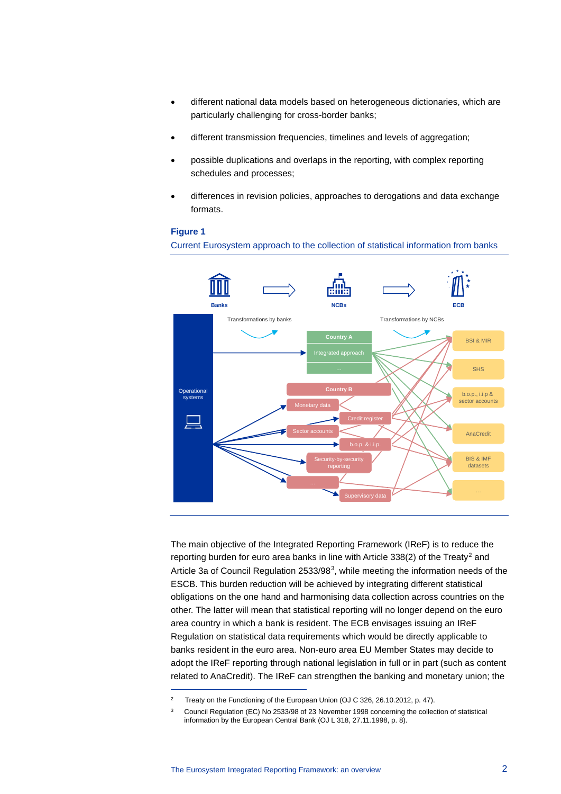- different national data models based on heterogeneous dictionaries, which are particularly challenging for cross-border banks;
- different transmission frequencies, timelines and levels of aggregation;
- possible duplications and overlaps in the reporting, with complex reporting schedules and processes;
- differences in revision policies, approaches to derogations and data exchange formats.

### **Figure 1**

Current Eurosystem approach to the collection of statistical information from banks



The main objective of the Integrated Reporting Framework (IReF) is to reduce the reporting burden for euro area banks in line with Article 338([2](#page-1-0)) of the Treaty<sup>2</sup> and Article [3](#page-1-1)a of Council Regulation 2533/98<sup>3</sup>, while meeting the information needs of the ESCB. This burden reduction will be achieved by integrating different statistical obligations on the one hand and harmonising data collection across countries on the other. The latter will mean that statistical reporting will no longer depend on the euro area country in which a bank is resident. The ECB envisages issuing an IReF Regulation on statistical data requirements which would be directly applicable to banks resident in the euro area. Non-euro area EU Member States may decide to adopt the IReF reporting through national legislation in full or in part (such as content related to AnaCredit). The IReF can strengthen the banking and monetary union; the

<span id="page-1-0"></span><sup>&</sup>lt;sup>2</sup> Treaty on the Functioning of the European Union (OJ C 326, 26.10.2012, p. 47).

<span id="page-1-1"></span><sup>&</sup>lt;sup>3</sup> Council Regulation (EC) No 2533/98 of 23 November 1998 concerning the collection of statistical information by the European Central Bank (OJ L 318, 27.11.1998, p. 8).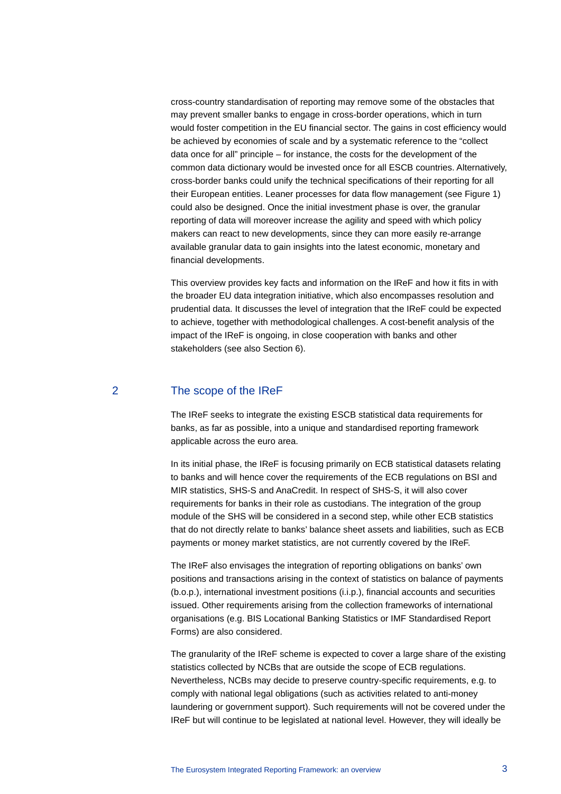cross-country standardisation of reporting may remove some of the obstacles that may prevent smaller banks to engage in cross-border operations, which in turn would foster competition in the EU financial sector. The gains in cost efficiency would be achieved by economies of scale and by a systematic reference to the "collect data once for all" principle – for instance, the costs for the development of the common data dictionary would be invested once for all ESCB countries. Alternatively, cross-border banks could unify the technical specifications of their reporting for all their European entities. Leaner processes for data flow management (see Figure 1) could also be designed. Once the initial investment phase is over, the granular reporting of data will moreover increase the agility and speed with which policy makers can react to new developments, since they can more easily re-arrange available granular data to gain insights into the latest economic, monetary and financial developments.

This overview provides key facts and information on the IReF and how it fits in with the broader EU data integration initiative, which also encompasses resolution and prudential data. It discusses the level of integration that the IReF could be expected to achieve, together with methodological challenges. A cost-benefit analysis of the impact of the IReF is ongoing, in close cooperation with banks and other stakeholders (see also Section 6).

# 2 The scope of the IReF

The IReF seeks to integrate the existing ESCB statistical data requirements for banks, as far as possible, into a unique and standardised reporting framework applicable across the euro area.

In its initial phase, the IReF is focusing primarily on ECB statistical datasets relating to banks and will hence cover the requirements of the ECB regulations on BSI and MIR statistics, SHS-S and AnaCredit. In respect of SHS-S, it will also cover requirements for banks in their role as custodians. The integration of the group module of the SHS will be considered in a second step, while other ECB statistics that do not directly relate to banks' balance sheet assets and liabilities, such as ECB payments or money market statistics, are not currently covered by the IReF.

The IReF also envisages the integration of reporting obligations on banks' own positions and transactions arising in the context of statistics on balance of payments (b.o.p.), international investment positions (i.i.p.), financial accounts and securities issued. Other requirements arising from the collection frameworks of international organisations (e.g. BIS Locational Banking Statistics or IMF Standardised Report Forms) are also considered.

The granularity of the IReF scheme is expected to cover a large share of the existing statistics collected by NCBs that are outside the scope of ECB regulations. Nevertheless, NCBs may decide to preserve country-specific requirements, e.g. to comply with national legal obligations (such as activities related to anti-money laundering or government support). Such requirements will not be covered under the IReF but will continue to be legislated at national level. However, they will ideally be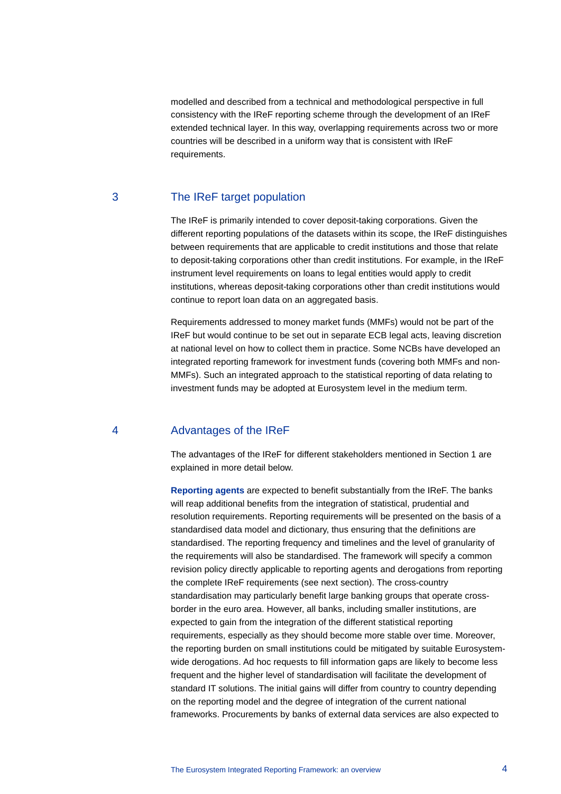modelled and described from a technical and methodological perspective in full consistency with the IReF reporting scheme through the development of an IReF extended technical layer. In this way, overlapping requirements across two or more countries will be described in a uniform way that is consistent with IReF requirements.

### 3 The IReF target population

The IReF is primarily intended to cover deposit-taking corporations. Given the different reporting populations of the datasets within its scope, the IReF distinguishes between requirements that are applicable to credit institutions and those that relate to deposit-taking corporations other than credit institutions. For example, in the IReF instrument level requirements on loans to legal entities would apply to credit institutions, whereas deposit-taking corporations other than credit institutions would continue to report loan data on an aggregated basis.

Requirements addressed to money market funds (MMFs) would not be part of the IReF but would continue to be set out in separate ECB legal acts, leaving discretion at national level on how to collect them in practice. Some NCBs have developed an integrated reporting framework for investment funds (covering both MMFs and non-MMFs). Such an integrated approach to the statistical reporting of data relating to investment funds may be adopted at Eurosystem level in the medium term.

# 4 Advantages of the IReF

The advantages of the IReF for different stakeholders mentioned in Section 1 are explained in more detail below.

**Reporting agents** are expected to benefit substantially from the IReF. The banks will reap additional benefits from the integration of statistical, prudential and resolution requirements. Reporting requirements will be presented on the basis of a standardised data model and dictionary, thus ensuring that the definitions are standardised. The reporting frequency and timelines and the level of granularity of the requirements will also be standardised. The framework will specify a common revision policy directly applicable to reporting agents and derogations from reporting the complete IReF requirements (see next section). The cross-country standardisation may particularly benefit large banking groups that operate crossborder in the euro area. However, all banks, including smaller institutions, are expected to gain from the integration of the different statistical reporting requirements, especially as they should become more stable over time. Moreover, the reporting burden on small institutions could be mitigated by suitable Eurosystemwide derogations. Ad hoc requests to fill information gaps are likely to become less frequent and the higher level of standardisation will facilitate the development of standard IT solutions. The initial gains will differ from country to country depending on the reporting model and the degree of integration of the current national frameworks. Procurements by banks of external data services are also expected to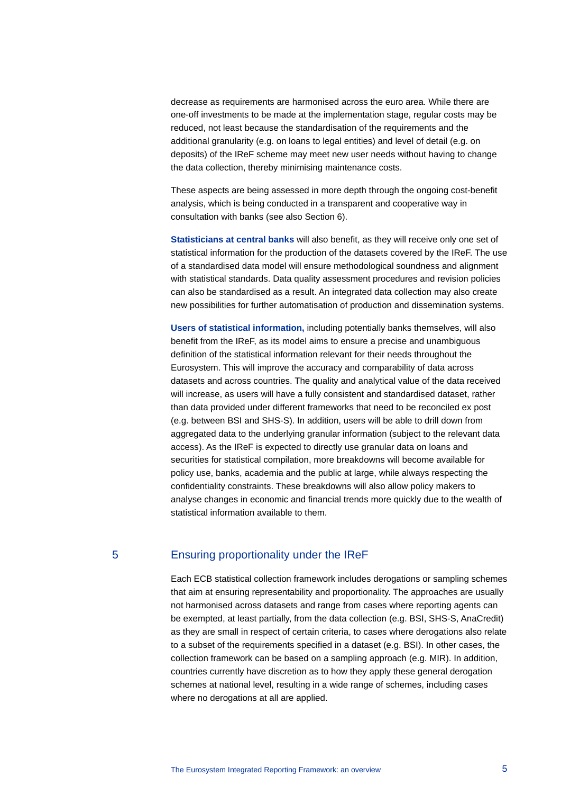decrease as requirements are harmonised across the euro area. While there are one-off investments to be made at the implementation stage, regular costs may be reduced, not least because the standardisation of the requirements and the additional granularity (e.g. on loans to legal entities) and level of detail (e.g. on deposits) of the IReF scheme may meet new user needs without having to change the data collection, thereby minimising maintenance costs.

These aspects are being assessed in more depth through the ongoing cost-benefit analysis, which is being conducted in a transparent and cooperative way in consultation with banks (see also Section 6).

**Statisticians at central banks** will also benefit, as they will receive only one set of statistical information for the production of the datasets covered by the IReF. The use of a standardised data model will ensure methodological soundness and alignment with statistical standards. Data quality assessment procedures and revision policies can also be standardised as a result. An integrated data collection may also create new possibilities for further automatisation of production and dissemination systems.

**Users of statistical information,** including potentially banks themselves, will also benefit from the IReF, as its model aims to ensure a precise and unambiguous definition of the statistical information relevant for their needs throughout the Eurosystem. This will improve the accuracy and comparability of data across datasets and across countries. The quality and analytical value of the data received will increase, as users will have a fully consistent and standardised dataset, rather than data provided under different frameworks that need to be reconciled ex post (e.g. between BSI and SHS-S). In addition, users will be able to drill down from aggregated data to the underlying granular information (subject to the relevant data access). As the IReF is expected to directly use granular data on loans and securities for statistical compilation, more breakdowns will become available for policy use, banks, academia and the public at large, while always respecting the confidentiality constraints. These breakdowns will also allow policy makers to analyse changes in economic and financial trends more quickly due to the wealth of statistical information available to them.

### 5 Ensuring proportionality under the IReF

Each ECB statistical collection framework includes derogations or sampling schemes that aim at ensuring representability and proportionality. The approaches are usually not harmonised across datasets and range from cases where reporting agents can be exempted, at least partially, from the data collection (e.g. BSI, SHS-S, AnaCredit) as they are small in respect of certain criteria, to cases where derogations also relate to a subset of the requirements specified in a dataset (e.g. BSI). In other cases, the collection framework can be based on a sampling approach (e.g. MIR). In addition, countries currently have discretion as to how they apply these general derogation schemes at national level, resulting in a wide range of schemes, including cases where no derogations at all are applied.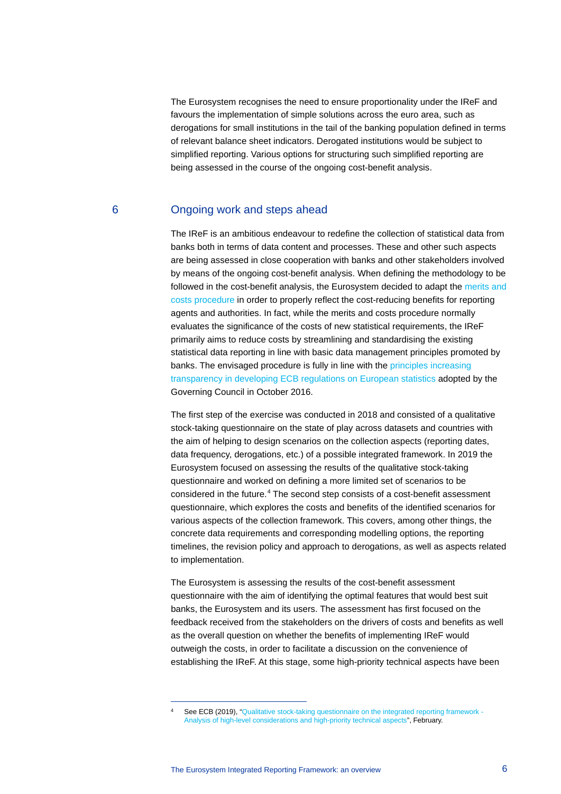The Eurosystem recognises the need to ensure proportionality under the IReF and favours the implementation of simple solutions across the euro area, such as derogations for small institutions in the tail of the banking population defined in terms of relevant balance sheet indicators. Derogated institutions would be subject to simplified reporting. Various options for structuring such simplified reporting are being assessed in the course of the ongoing cost-benefit analysis.

### 6 Ongoing work and steps ahead

The IReF is an ambitious endeavour to redefine the collection of statistical data from banks both in terms of data content and processes. These and other such aspects are being assessed in close cooperation with banks and other stakeholders involved by means of the ongoing cost-benefit analysis. When defining the methodology to be followed in the cost-benefit analysis, the Eurosystem decided to adapt the [merits and](https://www.ecb.europa.eu/stats/ecb_statistics/governance_and_quality_framework/html/merits_costs_procedure.en.html)  [costs procedure](https://www.ecb.europa.eu/stats/ecb_statistics/governance_and_quality_framework/html/merits_costs_procedure.en.html) in order to properly reflect the cost-reducing benefits for reporting agents and authorities. In fact, while the merits and costs procedure normally evaluates the significance of the costs of new statistical requirements, the IReF primarily aims to reduce costs by streamlining and standardising the existing statistical data reporting in line with basic data management principles promoted by banks. The envisaged procedure is fully in line with the [principles increasing](https://www.ecb.europa.eu/press/govcdec/otherdec/2016/html/gc161021.en.html)  [transparency in developing ECB regulations on European statistics](https://www.ecb.europa.eu/press/govcdec/otherdec/2016/html/gc161021.en.html) adopted by the Governing Council in October 2016.

The first step of the exercise was conducted in 2018 and consisted of a qualitative stock-taking questionnaire on the state of play across datasets and countries with the aim of helping to design scenarios on the collection aspects (reporting dates, data frequency, derogations, etc.) of a possible integrated framework. In 2019 the Eurosystem focused on assessing the results of the qualitative stock-taking questionnaire and worked on defining a more limited set of scenarios to be considered in the future.<sup>[4](#page-5-0)</sup> The second step consists of a cost-benefit assessment questionnaire, which explores the costs and benefits of the identified scenarios for various aspects of the collection framework. This covers, among other things, the concrete data requirements and corresponding modelling options, the reporting timelines, the revision policy and approach to derogations, as well as aspects related to implementation.

The Eurosystem is assessing the results of the cost-benefit assessment questionnaire with the aim of identifying the optimal features that would best suit banks, the Eurosystem and its users. The assessment has first focused on the feedback received from the stakeholders on the drivers of costs and benefits as well as the overall question on whether the benefits of implementing IReF would outweigh the costs, in order to facilitate a discussion on the convenience of establishing the IReF. At this stage, some high-priority technical aspects have been

<span id="page-5-0"></span>See ECB (2019), ["Qualitative stock-taking questionnaire on the integrated reporting framework -](https://www.ecb.europa.eu/pub/pdf/other/ecb.qualitativestocktakingquestionnaire1902%7E57840923c3.en.pdf) [Analysis of high-level considerations and high-priority technical aspects"](https://www.ecb.europa.eu/pub/pdf/other/ecb.qualitativestocktakingquestionnaire1902%7E57840923c3.en.pdf), February.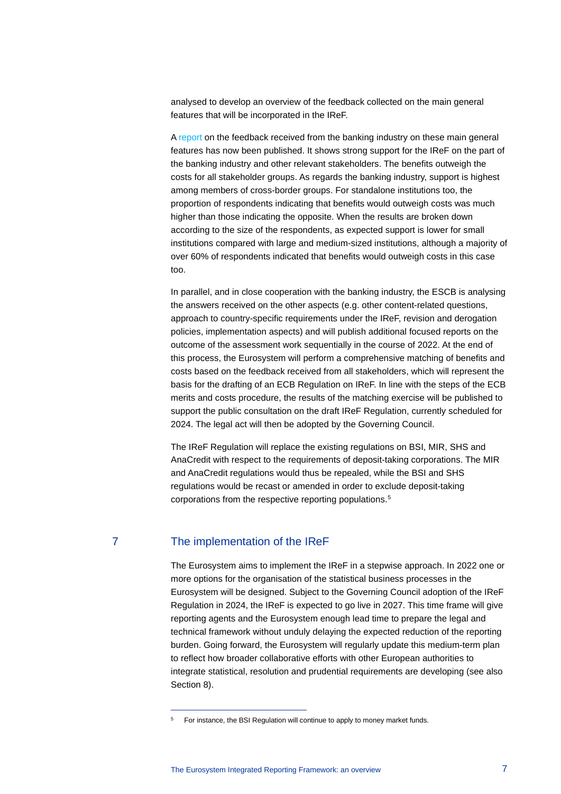analysed to develop an overview of the feedback collected on the main general features that will be incorporated in the IReF.

A [report](https://www.ecb.europa.eu/pub/pdf/other/ecb.iref_cost-benefitassessment122021%7E23a9ea1173.en.pdf) on the feedback received from the banking industry on these main general features has now been published. It shows strong support for the IReF on the part of the banking industry and other relevant stakeholders. The benefits outweigh the costs for all stakeholder groups. As regards the banking industry, support is highest among members of cross-border groups. For standalone institutions too, the proportion of respondents indicating that benefits would outweigh costs was much higher than those indicating the opposite. When the results are broken down according to the size of the respondents, as expected support is lower for small institutions compared with large and medium-sized institutions, although a majority of over 60% of respondents indicated that benefits would outweigh costs in this case too.

In parallel, and in close cooperation with the banking industry, the ESCB is analysing the answers received on the other aspects (e.g. other content-related questions, approach to country-specific requirements under the IReF, revision and derogation policies, implementation aspects) and will publish additional focused reports on the outcome of the assessment work sequentially in the course of 2022. At the end of this process, the Eurosystem will perform a comprehensive matching of benefits and costs based on the feedback received from all stakeholders, which will represent the basis for the drafting of an ECB Regulation on IReF. In line with the steps of the ECB merits and costs procedure, the results of the matching exercise will be published to support the public consultation on the draft IReF Regulation, currently scheduled for 2024. The legal act will then be adopted by the Governing Council.

The IReF Regulation will replace the existing regulations on BSI, MIR, SHS and AnaCredit with respect to the requirements of deposit-taking corporations. The MIR and AnaCredit regulations would thus be repealed, while the BSI and SHS regulations would be recast or amended in order to exclude deposit-taking corporations from the respective reporting populations. [5](#page-6-0)

### 7 The implementation of the IReF

The Eurosystem aims to implement the IReF in a stepwise approach. In 2022 one or more options for the organisation of the statistical business processes in the Eurosystem will be designed. Subject to the Governing Council adoption of the IReF Regulation in 2024, the IReF is expected to go live in 2027. This time frame will give reporting agents and the Eurosystem enough lead time to prepare the legal and technical framework without unduly delaying the expected reduction of the reporting burden. Going forward, the Eurosystem will regularly update this medium-term plan to reflect how broader collaborative efforts with other European authorities to integrate statistical, resolution and prudential requirements are developing (see also Section 8).

<span id="page-6-0"></span><sup>5</sup> For instance, the BSI Regulation will continue to apply to money market funds.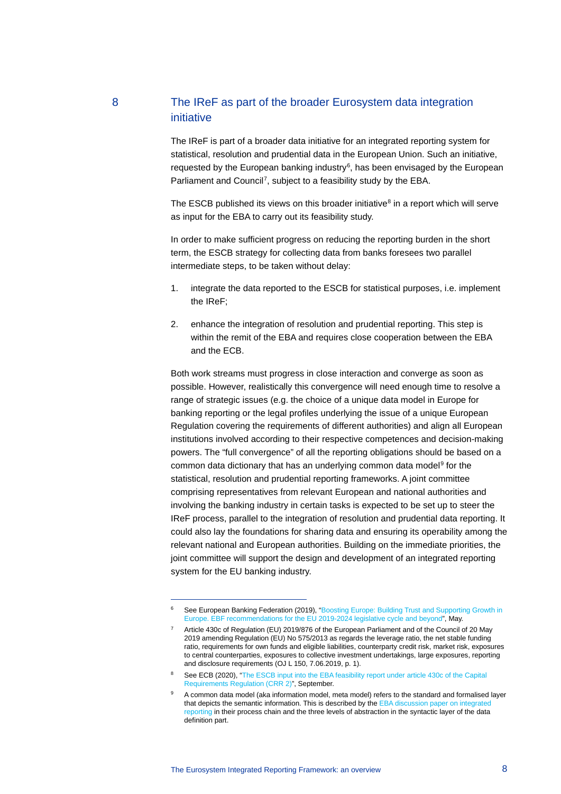# 8 The IReF as part of the broader Eurosystem data integration initiative

The IReF is part of a broader data initiative for an integrated reporting system for statistical, resolution and prudential data in the European Union. Such an initiative, requested by the European banking industry<sup>[6](#page-7-0)</sup>, has been envisaged by the European Parliament and Council<sup>[7](#page-7-1)</sup>, subject to a feasibility study by the EBA.

The ESCB published its views on this broader initiative $<sup>8</sup>$  $<sup>8</sup>$  $<sup>8</sup>$  in a report which will serve</sup> as input for the EBA to carry out its feasibility study.

In order to make sufficient progress on reducing the reporting burden in the short term, the ESCB strategy for collecting data from banks foresees two parallel intermediate steps, to be taken without delay:

- 1. integrate the data reported to the ESCB for statistical purposes, i.e. implement the IReF;
- 2. enhance the integration of resolution and prudential reporting. This step is within the remit of the EBA and requires close cooperation between the EBA and the ECB.

Both work streams must progress in close interaction and converge as soon as possible. However, realistically this convergence will need enough time to resolve a range of strategic issues (e.g. the choice of a unique data model in Europe for banking reporting or the legal profiles underlying the issue of a unique European Regulation covering the requirements of different authorities) and align all European institutions involved according to their respective competences and decision-making powers. The "full convergence" of all the reporting obligations should be based on a common data dictionary that has an underlying common data model<sup>[9](#page-7-3)</sup> for the statistical, resolution and prudential reporting frameworks. A joint committee comprising representatives from relevant European and national authorities and involving the banking industry in certain tasks is expected to be set up to steer the IReF process, parallel to the integration of resolution and prudential data reporting. It could also lay the foundations for sharing data and ensuring its operability among the relevant national and European authorities. Building on the immediate priorities, the joint committee will support the design and development of an integrated reporting system for the EU banking industry.

<span id="page-7-1"></span><span id="page-7-0"></span>

See European Banking Federation (2019), "Boosting Europe: Building Trust and Supporting Growth in [Europe. EBF recommendations for the EU 2019-2024 legislative cycle and beyond"](https://www.ebf.eu/wp-content/uploads/2019/05/EBF_Building-Trust-and-Supporting-Growth-in-Europe_Final.pdf), May.

<sup>7</sup> Article 430c of Regulation (EU) 2019/876 of the European Parliament and of the Council of 20 May 2019 amending Regulation (EU) No 575/2013 as regards the leverage ratio, the net stable funding ratio, requirements for own funds and eligible liabilities, counterparty credit risk, market risk, exposures to central counterparties, exposures to collective investment undertakings, large exposures, reporting and disclosure requirements (OJ L 150, 7.06.2019, p. 1).

<span id="page-7-2"></span><sup>&</sup>lt;sup>8</sup> See ECB (2020), "The ESCB input into the EBA feasibility report under article 430c of the Capital [Requirements Regulation \(CRR 2\)"](https://www.ecb.europa.eu/pub/pdf/other/ecb.escbinputintoebafeasibilityreport092020%7Eeac9cf6102.en.pdf), September.

<span id="page-7-3"></span><sup>9</sup> A common data model (aka information model, meta model) refers to the standard and formalised layer that depicts the semantic information. This is described by th[e EBA discussion paper on integrated](https://www.eba.europa.eu/sites/default/documents/files/document_library/Publications/Discussions/2021/Discussion%20on%20a%20Feasibility%20Study%20of%20an%20Integrated%20Reporting%20System%20under%20Article%20430c%20CRR/963863/Discussion%20Paper%20on%20integrated%20reporting.pdf)  [reporting](https://www.eba.europa.eu/sites/default/documents/files/document_library/Publications/Discussions/2021/Discussion%20on%20a%20Feasibility%20Study%20of%20an%20Integrated%20Reporting%20System%20under%20Article%20430c%20CRR/963863/Discussion%20Paper%20on%20integrated%20reporting.pdf) in their process chain and the three levels of abstraction in the syntactic layer of the data definition part.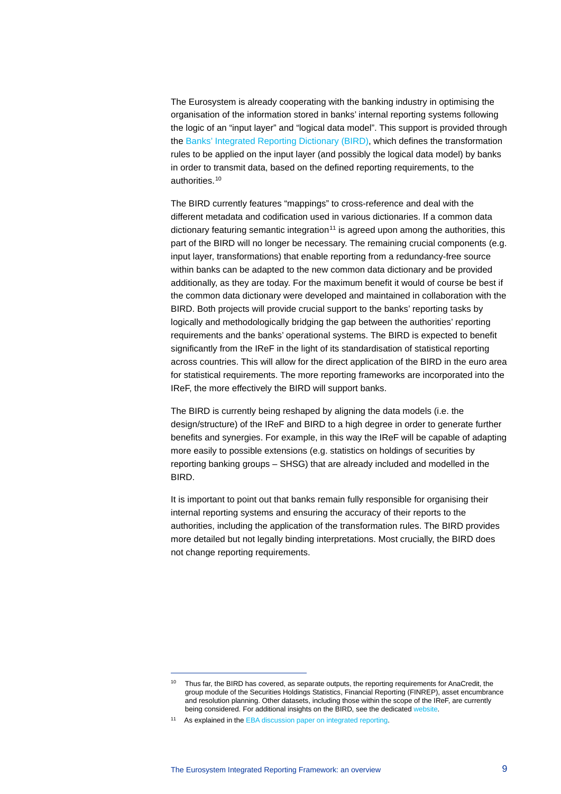The Eurosystem is already cooperating with the banking industry in optimising the organisation of the information stored in banks' internal reporting systems following the logic of an "input layer" and "logical data model". This support is provided through the [Banks' Integrated Reporting Dictionary \(BIRD\),](https://www.ecb.europa.eu/stats/ecb_statistics/co-operation_and_standards/reporting/html/bird_dedicated.en.html) which defines the transformation rules to be applied on the input layer (and possibly the logical data model) by banks in order to transmit data, based on the defined reporting requirements, to the authorities.[10](#page-8-0)

The BIRD currently features "mappings" to cross-reference and deal with the different metadata and codification used in various dictionaries. If a common data dictionary featuring semantic integration<sup>[11](#page-8-1)</sup> is agreed upon among the authorities, this part of the BIRD will no longer be necessary. The remaining crucial components (e.g. input layer, transformations) that enable reporting from a redundancy-free source within banks can be adapted to the new common data dictionary and be provided additionally, as they are today. For the maximum benefit it would of course be best if the common data dictionary were developed and maintained in collaboration with the BIRD. Both projects will provide crucial support to the banks' reporting tasks by logically and methodologically bridging the gap between the authorities' reporting requirements and the banks' operational systems. The BIRD is expected to benefit significantly from the IReF in the light of its standardisation of statistical reporting across countries. This will allow for the direct application of the BIRD in the euro area for statistical requirements. The more reporting frameworks are incorporated into the IReF, the more effectively the BIRD will support banks.

The BIRD is currently being reshaped by aligning the data models (i.e. the design/structure) of the IReF and BIRD to a high degree in order to generate further benefits and synergies. For example, in this way the IReF will be capable of adapting more easily to possible extensions (e.g. statistics on holdings of securities by reporting banking groups – SHSG) that are already included and modelled in the BIRD.

It is important to point out that banks remain fully responsible for organising their internal reporting systems and ensuring the accuracy of their reports to the authorities, including the application of the transformation rules. The BIRD provides more detailed but not legally binding interpretations. Most crucially, the BIRD does not change reporting requirements.

<span id="page-8-0"></span><sup>&</sup>lt;sup>10</sup> Thus far, the BIRD has covered, as separate outputs, the reporting requirements for AnaCredit, the group module of the Securities Holdings Statistics, Financial Reporting (FINREP), asset encumbrance and resolution planning. Other datasets, including those within the scope of the IReF, are currently being considered. For additional insights on the BIRD, see the dedicated web

<span id="page-8-1"></span><sup>&</sup>lt;sup>11</sup> As explained in th[e EBA discussion paper on integrated reporting.](https://www.eba.europa.eu/sites/default/documents/files/document_library/Publications/Discussions/2021/Discussion%20on%20a%20Feasibility%20Study%20of%20an%20Integrated%20Reporting%20System%20under%20Article%20430c%20CRR/963863/Discussion%20Paper%20on%20integrated%20reporting.pdf)